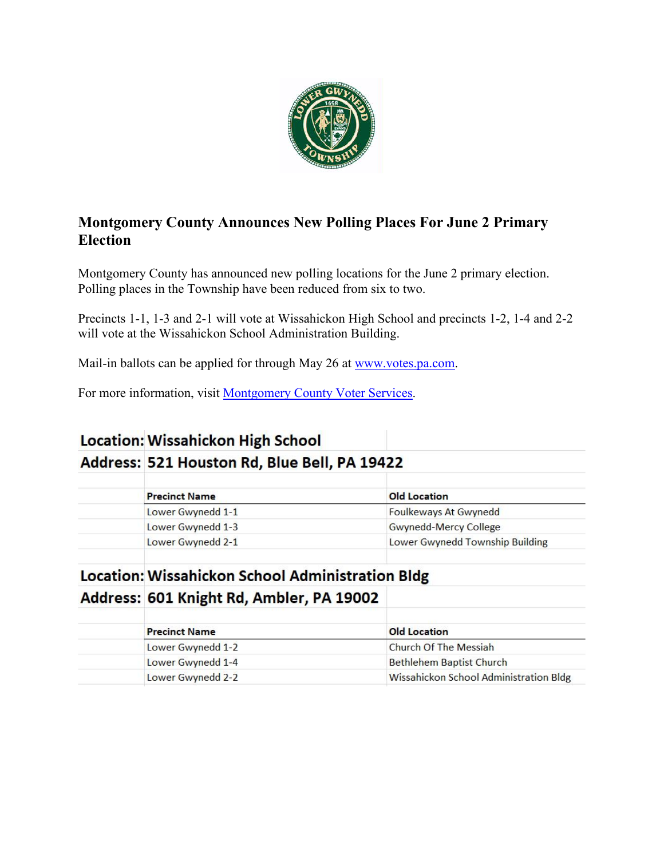

## **Montgomery County Announces New Polling Places For June 2 Primary Election**

Montgomery County has announced new polling locations for the June 2 primary election. Polling places in the Township have been reduced from six to two.

Precincts 1-1, 1-3 and 2-1 will vote at Wissahickon High School and precincts 1-2, 1-4 and 2-2 will vote at the Wissahickon School Administration Building.

Mail-in ballots can be applied for through May 26 at [www.votes.pa.com.](http://www.votes.pa.com/)

For more information, visit [Montgomery County Voter Services.](https://www.montcopa.org/753/Voter-Services)

# **Location: Wissahickon High School** Address: 521 Houston Rd, Blue Bell, PA 19422

| <b>Old Location</b>             |
|---------------------------------|
| Foulkeways At Gwynedd           |
| <b>Gwynedd-Mercy College</b>    |
| Lower Gwynedd Township Building |
|                                 |

## **Location: Wissahickon School Administration Bldg**

#### Address: 601 Knight Rd, Ambler, PA 19002

| <b>Precinct Name</b> | <b>Old Location</b>                    |
|----------------------|----------------------------------------|
| Lower Gwynedd 1-2    | <b>Church Of The Messiah</b>           |
| Lower Gwynedd 1-4    | <b>Bethlehem Baptist Church</b>        |
| Lower Gwynedd 2-2    | Wissahickon School Administration Bldg |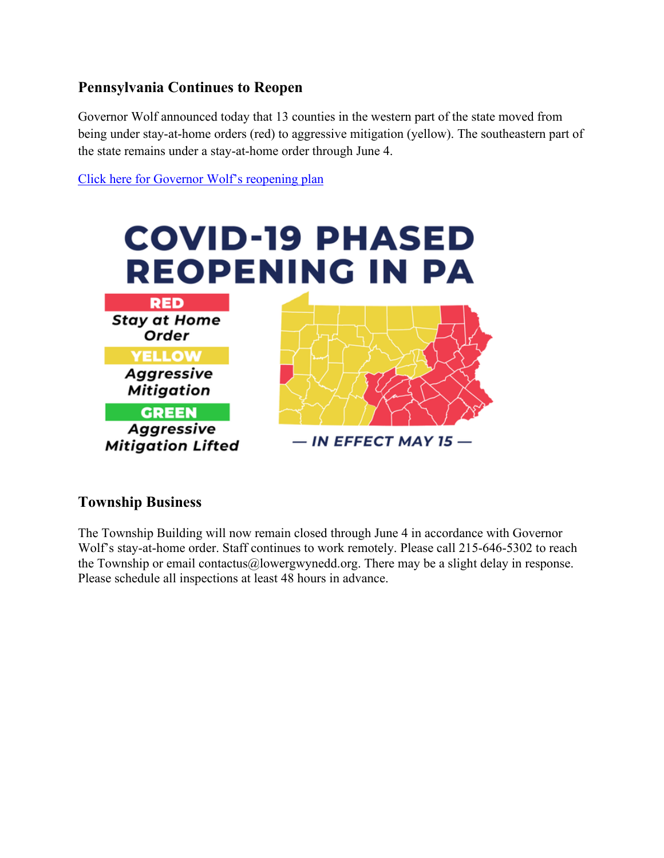## **Pennsylvania Continues to Reopen**

Governor Wolf announced today that 13 counties in the western part of the state moved from being under stay-at-home orders (red) to aggressive mitigation (yellow). The southeastern part of the state remains under a stay-at-home order through June 4.

[Click here for Governor Wolf's reopening plan](https://www.governor.pa.gov/plan-for-pennsylvania/)



#### **Township Business**

The Township Building will now remain closed through June 4 in accordance with Governor Wolf's stay-at-home order. Staff continues to work remotely. Please call 215-646-5302 to reach the Township or email contactus@lowergwynedd.org. There may be a slight delay in response. Please schedule all inspections at least 48 hours in advance.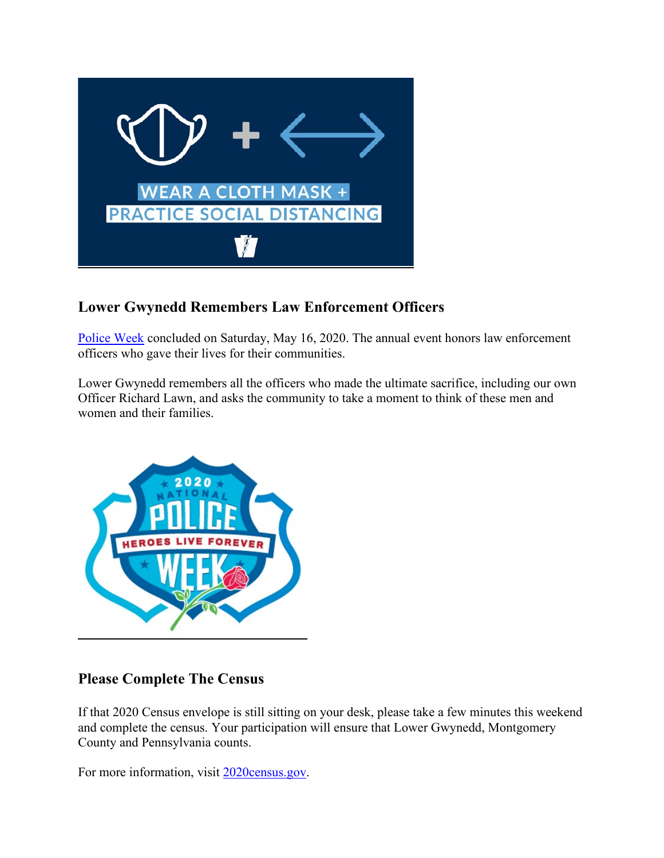

### **Lower Gwynedd Remembers Law Enforcement Officers**

[Police Week](https://www.policeweek.org/) concluded on Saturday, May 16, 2020. The annual event honors law enforcement officers who gave their lives for their communities.

Lower Gwynedd remembers all the officers who made the ultimate sacrifice, including our own Officer Richard Lawn, and asks the community to take a moment to think of these men and women and their families.



#### **Please Complete The Census**

If that 2020 Census envelope is still sitting on your desk, please take a few minutes this weekend and complete the census. Your participation will ensure that Lower Gwynedd, Montgomery County and Pennsylvania counts.

For more information, visit [2020census.gov.](https://2020census.gov/)